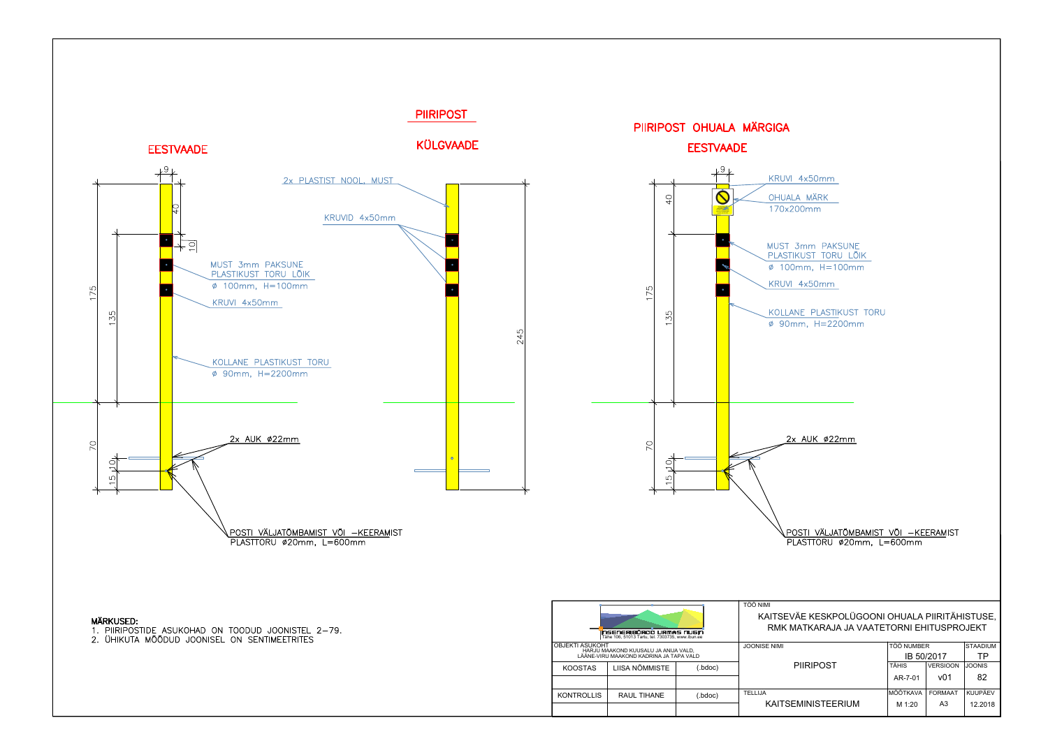

| TÖÖ NIMI                                                                                    |                   |                 |                 |
|---------------------------------------------------------------------------------------------|-------------------|-----------------|-----------------|
| KAITSEVÄE KESKPOLÜGOONI OHUALA PIIRITÄHISTUSE,<br>RMK MATKARAJA JA VAATETORNI EHITUSPROJEKT |                   |                 |                 |
| JOONISE NIMI                                                                                | <b>TÖÖ NUMBER</b> |                 | <b>STAADIUM</b> |
|                                                                                             | IB 50/2017        |                 | ТP              |
| <b>PIIRIPOST</b>                                                                            | <b>TÄHIS</b>      | <b>VERSIOON</b> | <b>JOONIS</b>   |
|                                                                                             | AR-7-01           | v01             | 82              |
| TELLIJA                                                                                     | MÕÕTKAVA          | <b>FORMAAT</b>  | <b>KUUPÄEV</b>  |
| KAITSEMINISTEERIUM                                                                          | M 1:20            | A3              | 12.2018         |

KRUVI 4x50mm

MUST 3mm PAKSUNE PLASTIKUST TORU LÕIK Ø 100mm, H=100mm

KRUVI 4x50mm

KOLLANE PLASTIKUST TORU  $\phi$  90mm, H=2200mm

2x AUK ø22mm

POSTI VÄLJATÕMBAMIST VÕI -KEERAMIST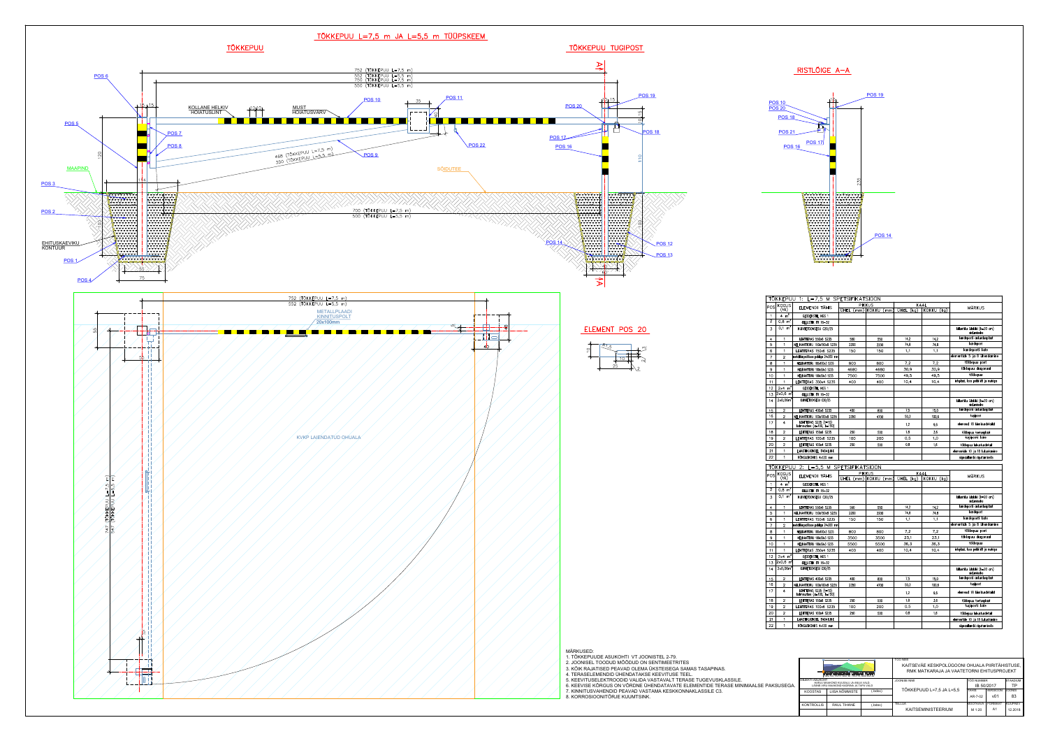



| U 1: L=7,5 M SPETSIFIKATSIOON                        |                       |                    |                     |               |                                            |  |  |  |
|------------------------------------------------------|-----------------------|--------------------|---------------------|---------------|--------------------------------------------|--|--|--|
|                                                      | <b>PIKKUS</b><br>KAAL |                    |                     |               |                                            |  |  |  |
| ELEMENDI TÄHIS                                       | UHEL (mm) KOKKU       | (mm)               | <b>UHEL</b><br>(kq) | KOKKU (kg)    | <b>MÄRKUS</b>                              |  |  |  |
| <b>GEODEKSTIIL NGS 1</b>                             |                       |                    |                     |               |                                            |  |  |  |
| KILLUSTIK FR 16-32                                   |                       |                    |                     |               |                                            |  |  |  |
| KUIVBETOONSEGU C20/25                                |                       |                    |                     |               | killustiku ülakihi (h=20 cm)               |  |  |  |
|                                                      |                       |                    |                     |               | sidumiseks                                 |  |  |  |
| LEHTTERAS 550x6 S235                                 | 550                   | 550                | 14.2                | 14,2          | kandeposti ankurdusplaat                   |  |  |  |
| NELIKANTTORU 150x150x8 S235                          | 2200                  | 2200               | 74,8                | 74,8          | kandepost                                  |  |  |  |
| LEHTTERAS 150x6 S235                                 | 150                   | 150                | 1,1                 | 1,1           | kandeposti kate                            |  |  |  |
| metallhinged koos poldiga 24x200 mm                  |                       |                    |                     |               | elementide 5 ja 8 ühendamine               |  |  |  |
| NELIKANTTORU 100x100x3 S235                          | 800                   | 800                | 7,2                 | 7,2           | tõkkepuu post                              |  |  |  |
| NELIKANTTORU 100x50x3 S235                           | 4680                  | 4680               | 30,9                | 30,9          | tõkkepuu diagonaal                         |  |  |  |
| NELIKANTTORU 100x50x3 S235                           | 7500                  | 7500               | 49,5                | 49,5          | tõkkepuu                                   |  |  |  |
| LEHTTERAS 350x4 S235                                 | 400                   | 400                | 10,4                | 10,4          | infoplaat, koos poldi M8 ja mutriga        |  |  |  |
| <b>GEODEKSTIL NGS 1</b>                              |                       |                    |                     |               |                                            |  |  |  |
| KILLUSTIK FR 16-32                                   |                       |                    |                     |               |                                            |  |  |  |
| KUIVBETOONSEGU C20/25                                |                       |                    |                     |               | killustiku ülakihi (h=20 cm)               |  |  |  |
|                                                      |                       |                    |                     |               | sidumiseks                                 |  |  |  |
| LEHTTERAS 400x6 S235                                 | 400                   | 800                | 7,5                 | 15,0          | kandeposti ankurdusplaat                   |  |  |  |
| NELIKANTTORU 100x100x8 S235                          | 2350                  | 4700               | 50,3                | 100,6         | tugipost                                   |  |  |  |
| LEHTTERAS S235 (t=10)<br>kolmnurkne (a=100, b=150)   |                       |                    | 1,2                 | 9,6           | elemendi 18 kinnitusdetailid               |  |  |  |
| LEHTTERAS 150x6 S235                                 | 250                   | 500                | 1,8                 | 3,6           | tõkkepuu toetusplaat                       |  |  |  |
| LEHTTERAS 100x6 S235                                 | 100                   | 200                | 0,5                 | 1,0           | tugiposti kate                             |  |  |  |
| LEHTTERAS 100x4 S235                                 | 250                   | 500                | 0,8                 | 1,6           | tõkkepuu lukustusdetail                    |  |  |  |
| ILMASTIKUKINDEL TABALUKK                             |                       |                    |                     |               | elementide 10 ja 18 lukustamine            |  |  |  |
| RÖNGASKONKS 4x120 mm                                 |                       |                    |                     |               | signaallambi riputamiseks                  |  |  |  |
|                                                      |                       |                    |                     |               |                                            |  |  |  |
| IU.<br>2: L=5,5 M SPETSIFIKATSIOON                   |                       |                    |                     |               |                                            |  |  |  |
| ELEMENDI TÄHIS                                       |                       | <b>PIKKUS</b>      | <b>KAAL</b>         |               | <b>MÄRKUS</b>                              |  |  |  |
|                                                      | <b>UHEL</b>           | (mm) KOKKU<br>(mm) | <b>ÜHEL</b><br>(kq) | KOKKU<br>(kq) |                                            |  |  |  |
| <b>GEODEKSTIL NGS 1</b>                              |                       |                    |                     |               |                                            |  |  |  |
| KILLUSTIK FR 16-32                                   |                       |                    |                     |               |                                            |  |  |  |
| KUIVBETOONSEGU C20/25                                |                       |                    |                     |               | killustiku ülakihi (h=20 cm)<br>sidumiseks |  |  |  |
| LEHTTERAS 550x6 S235                                 | 550                   | 550                | 14.2                | 14,2          | kandeposti ankurdusplaat                   |  |  |  |
| NELIKANTTORU 150x150x8 S235                          | 2200                  | 2200               | 74,8                | 74,8          | kandepost                                  |  |  |  |
| LEHTTERAS 150x6 S235                                 | 150                   | 150                | 1,1                 | 1,1           | kandeposti kate                            |  |  |  |
| metallhinged koos poldiga 24x200 mm                  |                       |                    |                     |               | elementide 5 ja 8 ühendamine               |  |  |  |
| NELIKANTTORU 100x100x3 S235                          | 800                   | 800                | 7,2                 | 7,2           | tõkkepuu post                              |  |  |  |
| NELIKANTTORU 100x50x3 S235                           | 3500                  | 3500               | 23,1                | 23,1          | tõkkepuu diagonaal                         |  |  |  |
| NELIKANTTORU 100x50x3 S235                           | 5500                  | 5500               | 36,3                | 36,3          | tõkkepuu                                   |  |  |  |
| LEHTTERAS 350x4 S235                                 | 400                   | 400                | 10,4                | 10,4          | infoplaat, koos poldi M8 ja mutriga        |  |  |  |
| <b>GEODEKSTIL NGS 1</b>                              |                       |                    |                     |               |                                            |  |  |  |
| KILLUSTIK FR 16-32                                   |                       |                    |                     |               |                                            |  |  |  |
| KUIVBETOONSEGU C20/25                                |                       |                    |                     |               | killustiku ülakihi (h=20 cm)               |  |  |  |
|                                                      |                       |                    |                     |               | sidumiseks                                 |  |  |  |
| LEHTTERAS 400x6 S235                                 | 400                   | 800                | 7,5                 | 15,0          | kandeposti ankurdusplaat                   |  |  |  |
| NELIKANTTORU 100x100x8 S235                          | 2350                  | 4700               | 50,3                | 100,6         | tugipost                                   |  |  |  |
| LEHTTERAS S235 (t=10)<br>kolmnurkne $(a=100, b=150)$ |                       |                    | 1,2                 | 9,6           | elemendi 18 kinnitusdetailid               |  |  |  |
| LEHTTERAS 150x6 S235                                 | 250                   | 500                | 1,8                 | 3,6           | tõkkepuu toetusplaat                       |  |  |  |
| LEHTTERAS 100x6 S235                                 | 100                   | 200                | 0,5                 | 1,0           | tugiposti kate                             |  |  |  |
| LEHTTERAS 100x4 S235                                 | 250                   | 500                | 0,8                 | 1,6           | tõkkepuu lukustusdetail                    |  |  |  |
| ILMASTIKUKINDEL TABALUKK                             |                       |                    |                     |               | elementide 10 ja 18 lukustamine            |  |  |  |
|                                                      |                       |                    |                     |               |                                            |  |  |  |

|    |                                                                                                           | TÖÖ NIMI<br>KAITSEVÄE KESKPOLÜGOONI OHUALA PIIRITÄHISTUSE,<br>RMK MATKARAJA JA VAATETORNI EHITUSPROJEKT<br>inseneribürga urmas nusin<br>Tähe 106, 51013 Tartu, tel. 7303735, www.ibun.ee |         |                          |            |                 |                 |  |
|----|-----------------------------------------------------------------------------------------------------------|------------------------------------------------------------------------------------------------------------------------------------------------------------------------------------------|---------|--------------------------|------------|-----------------|-----------------|--|
| Ą. | <b>OBJEKTI ASUKOHT</b><br>HARJU MAAKOND KUUSALU JA ANIJA VALD,<br>LÄÄNE-VIRU MAAKOND KADRINA JA TAPA VALD |                                                                                                                                                                                          |         | <b>JOONISE NIMI</b>      | TÖÖ NUMBER |                 | <b>STAADIUM</b> |  |
|    |                                                                                                           |                                                                                                                                                                                          |         |                          | IB 50/2017 |                 | ТP              |  |
|    | <b>KOOSTAS</b>                                                                                            | LIISA NÕMMISTE                                                                                                                                                                           | .bdoc)  | TÕKKEPUUD L=7,5 JA L=5,5 | TÄHIS      | <b>VERSIOON</b> | <b>JOONIS</b>   |  |
|    |                                                                                                           |                                                                                                                                                                                          |         |                          | AR-7-02    | v01             | 83              |  |
|    | <b>KONTROLLIS</b>                                                                                         | <b>RAUL TIHANE</b>                                                                                                                                                                       | (.bdoc) | <b>TELLIJA</b>           | MÕÕTKAVA   | <b>FORMAAT</b>  | <b>KUUPÄEV</b>  |  |
|    |                                                                                                           |                                                                                                                                                                                          |         | KAITSEMINISTEERIUM       | M 1:20     | A <sub>1</sub>  | 12.2018         |  |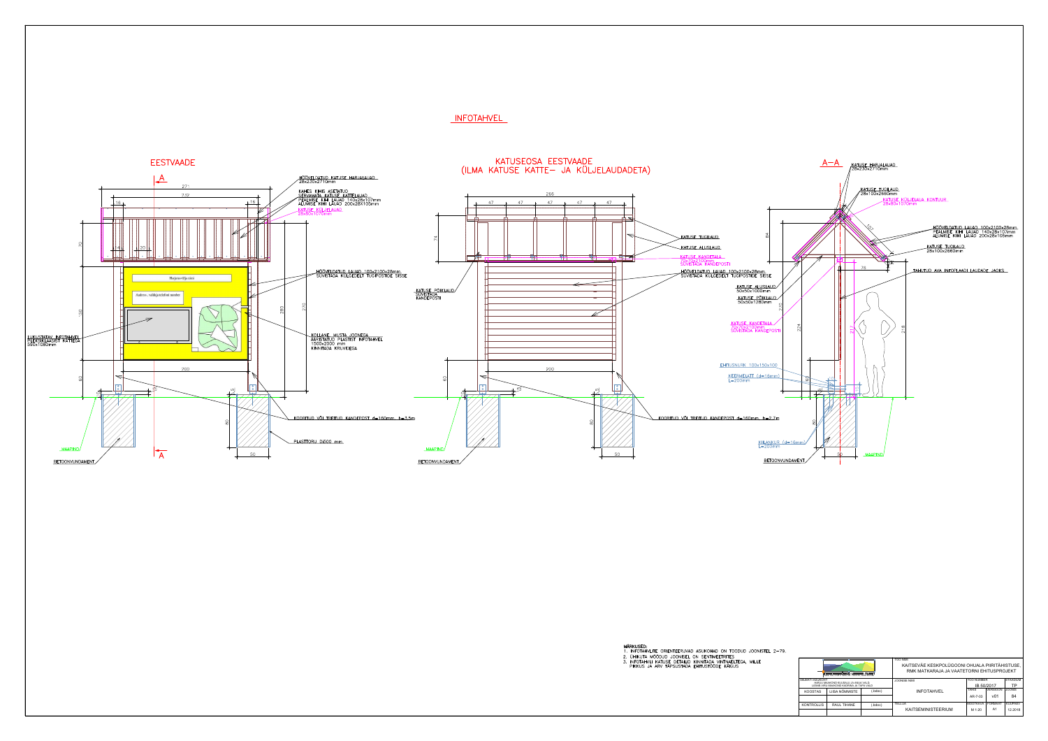

# **INFOTAHVEL**

- 
- 
- 

| <b>OBJEKTI ASUKOHT</b><br>HARJU MAAKOND KUUSALU JA ANIJA VALD. |                                         | <b>JOONISE NIMI</b> | <b>ITÖÖ NUMBER</b> |                 | STAADIUM        |                |
|----------------------------------------------------------------|-----------------------------------------|---------------------|--------------------|-----------------|-----------------|----------------|
|                                                                | LÄÄNE-VIRU MAAKOND KADRINA JA TAPA VALD |                     |                    | IB 50/2017      |                 | ТP             |
| <b>KOOSTAS</b>                                                 | LIISA NÕMMISTE                          | .bdoc)              | <b>INFOTAHVEL</b>  | TÄHIS           | <b>VERSIOON</b> | <b>JOONIS</b>  |
|                                                                |                                         |                     |                    | AR-7-03         | v01             | 84             |
| <b>KONTROLLIS</b>                                              | <b>RAUL TIHANE</b>                      | .bdoc)              | TELLIJA            | <b>MÕÕTKAVA</b> | <b>FORMAAT</b>  | <b>KUUPÄEV</b> |
|                                                                |                                         |                     |                    | M 1:20          | A <sub>1</sub>  | 12.2018        |
|                                                                |                                         |                     | KAITSEMINISTEERIUM |                 |                 |                |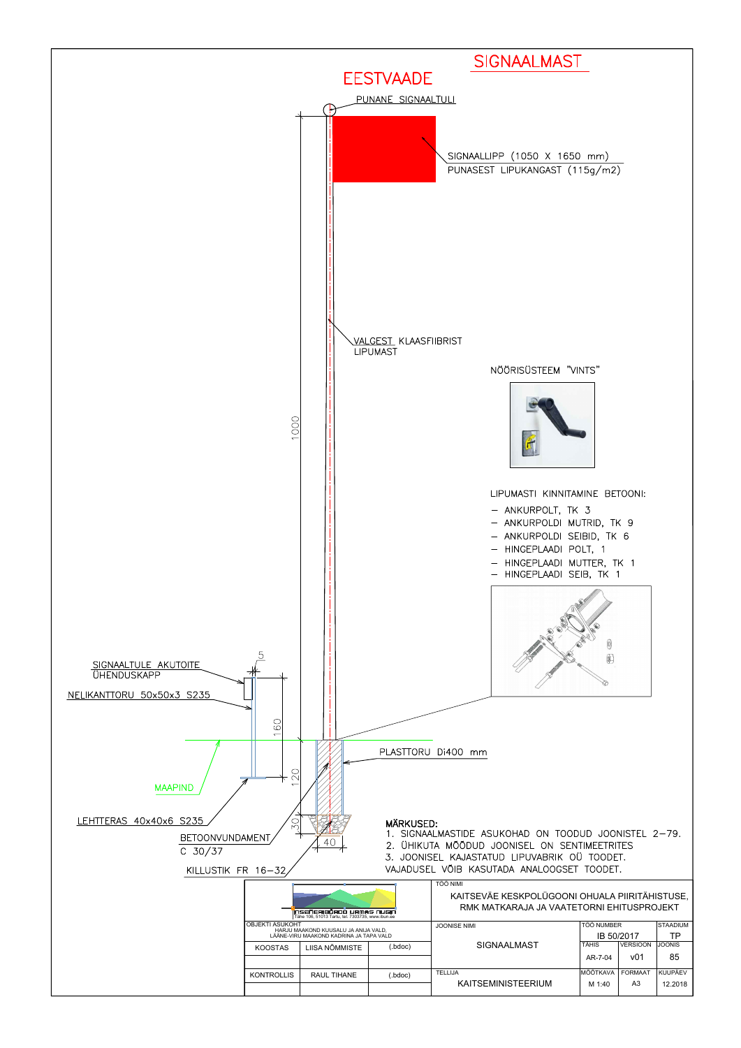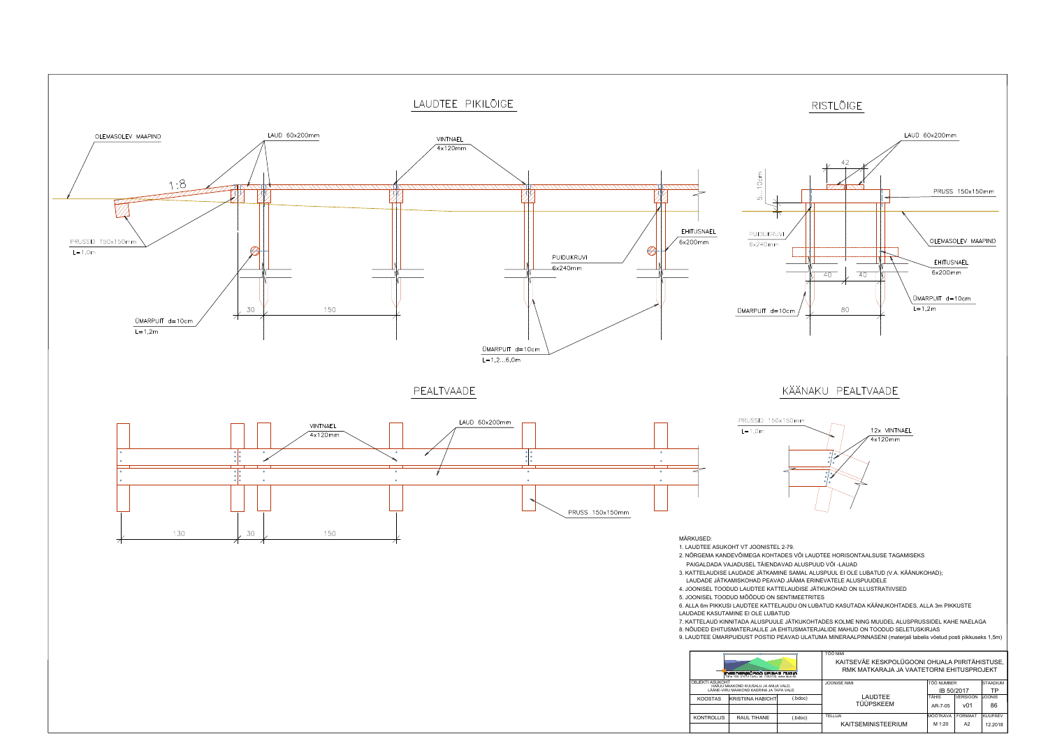